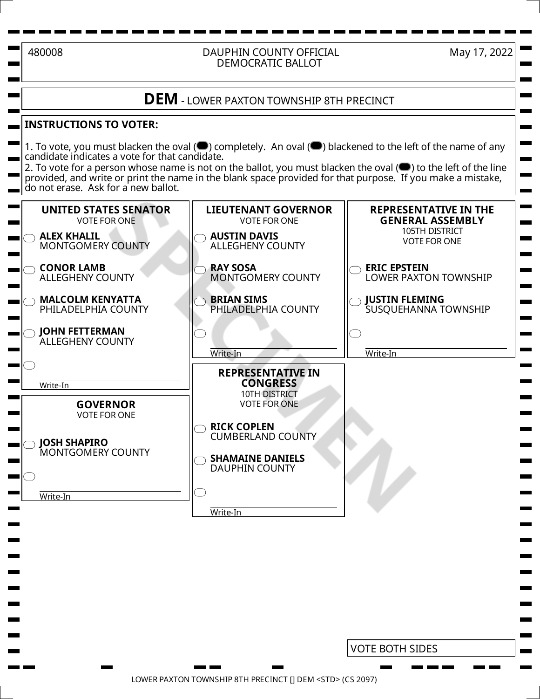## 480008 DAUPHIN COUNTY OFFICIAL DEMOCRATIC BALLOT

May 17, 2022

## **DEM** - LOWER PAXTON TOWNSHIP 8TH PRECINCT

## **INSTRUCTIONS TO VOTER:**

1. To vote, you must blacken the oval ( $\blacksquare$ ) completely. An oval ( $\blacksquare$ ) blackened to the left of the name of any candidate indicates a vote for that candidate.

2. To vote for a person whose name is not on the ballot, you must blacken the oval  $($ **)** to the left of the line provided, and write or print the name in the blank space provided for that purpose. If you make a mistake, do not erase. Ask for a new ballot.